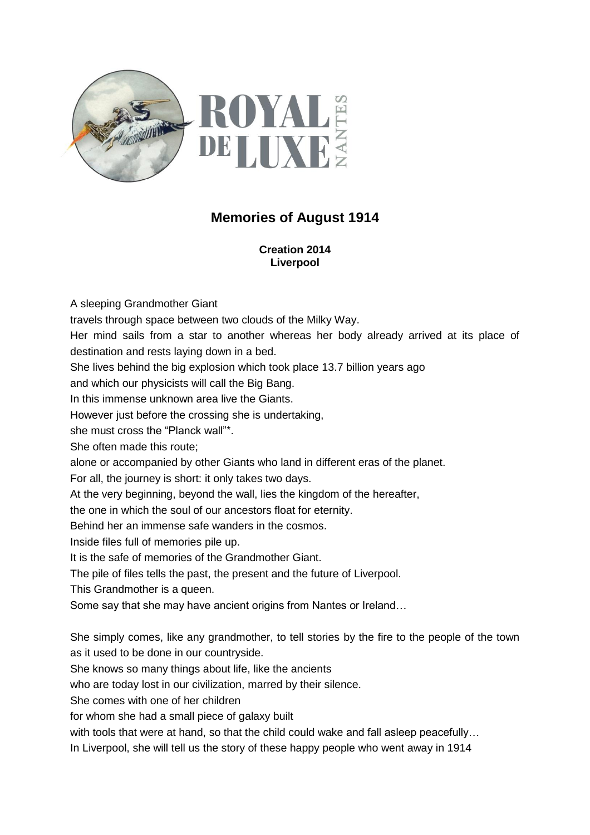

## **Memories of August 1914**

**Creation 2014 Liverpool**

A sleeping Grandmother Giant travels through space between two clouds of the Milky Way. Her mind sails from a star to another whereas her body already arrived at its place of destination and rests laying down in a bed. She lives behind the big explosion which took place 13.7 billion years ago and which our physicists will call the Big Bang. In this immense unknown area live the Giants. However just before the crossing she is undertaking, she must cross the "Planck wall"\*. She often made this route; alone or accompanied by other Giants who land in different eras of the planet. For all, the journey is short: it only takes two days. At the very beginning, beyond the wall, lies the kingdom of the hereafter, the one in which the soul of our ancestors float for eternity. Behind her an immense safe wanders in the cosmos. Inside files full of memories pile up. It is the safe of memories of the Grandmother Giant. The pile of files tells the past, the present and the future of Liverpool. This Grandmother is a queen. Some say that she may have ancient origins from Nantes or Ireland… She simply comes, like any grandmother, to tell stories by the fire to the people of the town as it used to be done in our countryside. She knows so many things about life, like the ancients who are today lost in our civilization, marred by their silence. She comes with one of her children for whom she had a small piece of galaxy built

with tools that were at hand, so that the child could wake and fall asleep peacefully...

In Liverpool, she will tell us the story of these happy people who went away in 1914